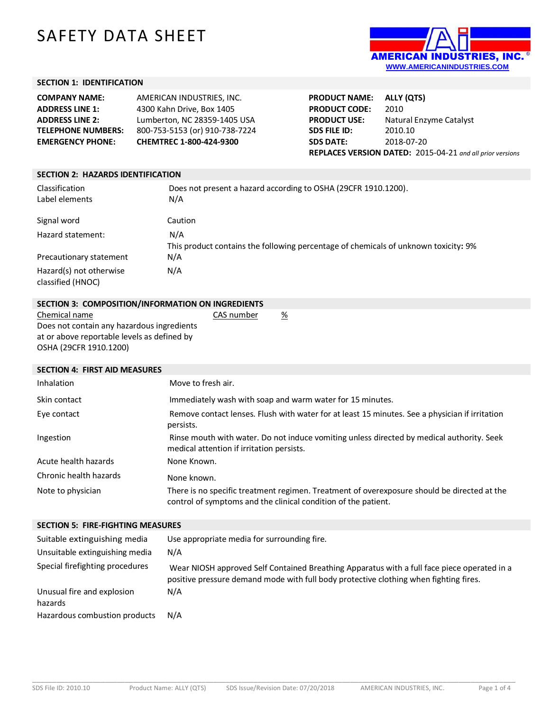# SAFETY DATA SHEET



# **SECTION 1: IDENTIFICATION**

| AMERICAN INDUSTRIES. INC.      |
|--------------------------------|
| 4300 Kahn Drive, Box 1405      |
| Lumberton, NC 28359-1405 USA   |
| 800-753-5153 (or) 910-738-7224 |
| CHEMTREC 1-800-424-9300        |
|                                |

| <b>PRODUCT NAME:</b>                                      | ALLY (QTS)              |
|-----------------------------------------------------------|-------------------------|
| <b>PRODUCT CODE:</b>                                      | 2010                    |
| <b>PRODUCT USE:</b>                                       | Natural Enzyme Catalyst |
| <b>SDS FILE ID:</b>                                       | 2010.10                 |
| <b>SDS DATE:</b>                                          | 2018-07-20              |
| REPLACES VERSION DATED: 2015-04-21 and all prior versions |                         |

| <b>SECTION 2: HAZARDS IDENTIFICATION</b>     |                                                                                            |  |
|----------------------------------------------|--------------------------------------------------------------------------------------------|--|
| Classification<br>Label elements             | Does not present a hazard according to OSHA (29CFR 1910.1200).<br>N/A                      |  |
| Signal word                                  | Caution                                                                                    |  |
| Hazard statement:                            | N/A<br>This product contains the following percentage of chemicals of unknown toxicity: 9% |  |
| Precautionary statement                      | N/A                                                                                        |  |
| Hazard(s) not otherwise<br>classified (HNOC) | N/A                                                                                        |  |

| SECTION 3: COMPOSITION/INFORMATION ON INGREDIENTS |            |   |
|---------------------------------------------------|------------|---|
| Chemical name                                     | CAS number | % |

Does not contain any hazardous ingredients at or above reportable levels as defined by OSHA (29CFR 1910.1200)

## **SECTION 4: FIRST AID MEASURES**

| Inhalation             | Move to fresh air.                                                                                                                                            |
|------------------------|---------------------------------------------------------------------------------------------------------------------------------------------------------------|
| Skin contact           | Immediately wash with soap and warm water for 15 minutes.                                                                                                     |
| Eye contact            | Remove contact lenses. Flush with water for at least 15 minutes. See a physician if irritation<br>persists.                                                   |
| Ingestion              | Rinse mouth with water. Do not induce vomiting unless directed by medical authority. Seek<br>medical attention if irritation persists.                        |
| Acute health hazards   | None Known.                                                                                                                                                   |
| Chronic health hazards | None known.                                                                                                                                                   |
| Note to physician      | There is no specific treatment regimen. Treatment of overexposure should be directed at the<br>control of symptoms and the clinical condition of the patient. |

#### **SECTION 5: FIRE-FIGHTING MEASURES**

| Suitable extinguishing media<br>Unsuitable extinguishing media | Use appropriate media for surrounding fire.<br>N/A                                                                                                                                   |
|----------------------------------------------------------------|--------------------------------------------------------------------------------------------------------------------------------------------------------------------------------------|
| Special firefighting procedures                                | Wear NIOSH approved Self Contained Breathing Apparatus with a full face piece operated in a<br>positive pressure demand mode with full body protective clothing when fighting fires. |
| Unusual fire and explosion<br>hazards                          | N/A                                                                                                                                                                                  |
| Hazardous combustion products                                  | N/A                                                                                                                                                                                  |

\_\_\_\_\_\_\_\_\_\_\_\_\_\_\_\_\_\_\_\_\_\_\_\_\_\_\_\_\_\_\_\_\_\_\_\_\_\_\_\_\_\_\_\_\_\_\_\_\_\_\_\_\_\_\_\_\_\_\_\_\_\_\_\_\_\_\_\_\_\_\_\_\_\_\_\_\_\_\_\_\_\_\_\_\_\_\_\_\_\_\_\_\_\_\_\_\_\_\_\_\_\_\_\_\_\_\_\_\_\_\_\_\_\_\_\_\_\_\_\_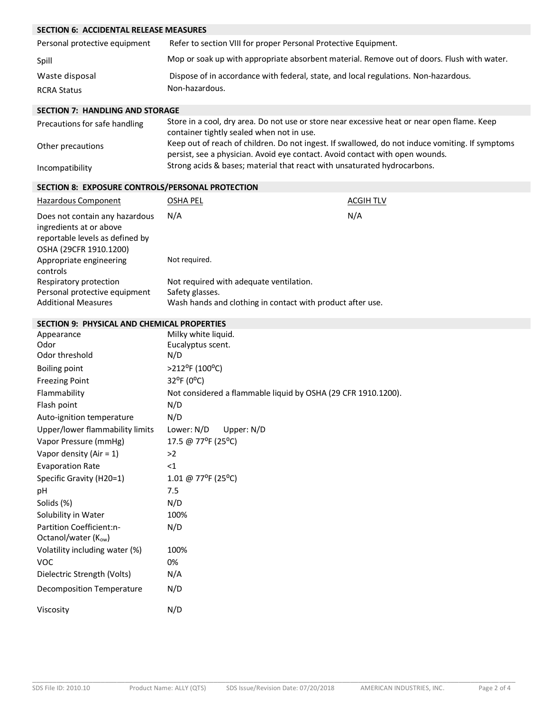# **SECTION 6: ACCIDENTAL RELEASE MEASURES**

| Personal protective equipment | Refer to section VIII for proper Personal Protective Equipment.                            |
|-------------------------------|--------------------------------------------------------------------------------------------|
| Spill                         | Mop or soak up with appropriate absorbent material. Remove out of doors. Flush with water. |
| Waste disposal                | Dispose of in accordance with federal, state, and local regulations. Non-hazardous.        |
| <b>RCRA Status</b>            | Non-hazardous.                                                                             |

#### **SECTION 7: HANDLING AND STORAGE**

| Precautions for safe handling | Store in a cool, dry area. Do not use or store near excessive heat or near open flame. Keep<br>container tightly sealed when not in use.                                        |
|-------------------------------|---------------------------------------------------------------------------------------------------------------------------------------------------------------------------------|
| Other precautions             | Keep out of reach of children. Do not ingest. If swallowed, do not induce vomiting. If symptoms<br>persist, see a physician. Avoid eve contact. Avoid contact with open wounds. |
| Incompatibility               | Strong acids & bases; material that react with unsaturated hydrocarbons.                                                                                                        |

#### **SECTION 8: EXPOSURE CONTROLS/PERSONAL PROTECTION**

| Hazardous Component                                                                                                    | OSHA PEL                                                                                                                 | ACGIH TLV |
|------------------------------------------------------------------------------------------------------------------------|--------------------------------------------------------------------------------------------------------------------------|-----------|
| Does not contain any hazardous<br>ingredients at or above<br>reportable levels as defined by<br>OSHA (29CFR 1910.1200) | N/A                                                                                                                      | N/A       |
| Appropriate engineering<br>controls                                                                                    | Not required.                                                                                                            |           |
| Respiratory protection<br>Personal protective equipment<br><b>Additional Measures</b>                                  | Not required with adequate ventilation.<br>Safety glasses.<br>Wash hands and clothing in contact with product after use. |           |

#### **SECTION 9: PHYSICAL AND CHEMICAL PROPERTIES**

| Appearance                       | Milky white liquid.                                           |
|----------------------------------|---------------------------------------------------------------|
| Odor                             | Eucalyptus scent.                                             |
| Odor threshold                   | N/D                                                           |
| <b>Boiling point</b>             | $>212$ <sup>o</sup> F (100 <sup>o</sup> C)                    |
| <b>Freezing Point</b>            | 32°F (0°C)                                                    |
| Flammability                     | Not considered a flammable liquid by OSHA (29 CFR 1910.1200). |
| Flash point                      | N/D                                                           |
| Auto-ignition temperature        | N/D                                                           |
| Upper/lower flammability limits  | Lower: N/D<br>Upper: N/D                                      |
| Vapor Pressure (mmHg)            | 17.5 @ 77°F (25°C)                                            |
| Vapor density (Air = $1$ )       | >2                                                            |
| <b>Evaporation Rate</b>          | $<$ 1                                                         |
| Specific Gravity (H20=1)         | 1.01 @ 77°F (25°C)                                            |
| pH                               | 7.5                                                           |
| Solids (%)                       | N/D                                                           |
| Solubility in Water              | 100%                                                          |
| Partition Coefficient:n-         | N/D                                                           |
| Octanol/water (Kow)              |                                                               |
| Volatility including water (%)   | 100%                                                          |
| <b>VOC</b>                       | 0%                                                            |
| Dielectric Strength (Volts)      | N/A                                                           |
| <b>Decomposition Temperature</b> | N/D                                                           |
| Viscosity                        | N/D                                                           |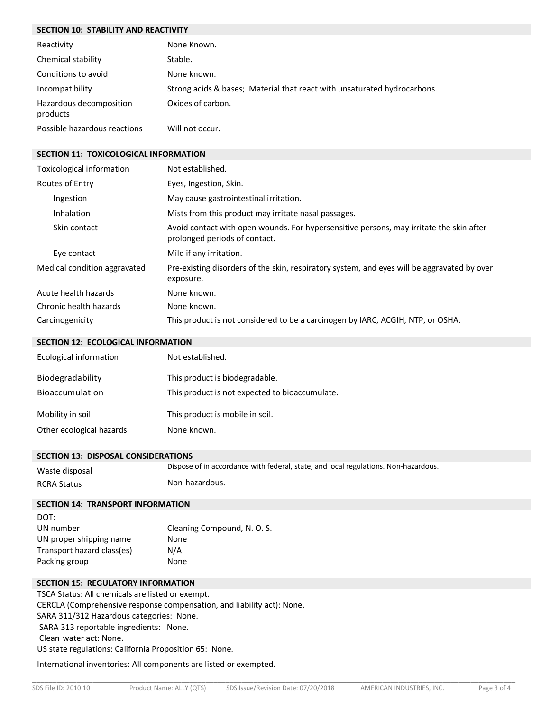# **SECTION 10: STABILITY AND REACTIVITY**

| Reactivity                          | None Known.                                                              |
|-------------------------------------|--------------------------------------------------------------------------|
| Chemical stability                  | Stable.                                                                  |
| Conditions to avoid                 | None known.                                                              |
| Incompatibility                     | Strong acids & bases; Material that react with unsaturated hydrocarbons. |
| Hazardous decomposition<br>products | Oxides of carbon.                                                        |
| Possible hazardous reactions        | Will not occur.                                                          |

#### **SECTION 11: TOXICOLOGICAL INFORMATION**

| Toxicological information    | Not established.                                                                                                         |
|------------------------------|--------------------------------------------------------------------------------------------------------------------------|
| Routes of Entry              | Eyes, Ingestion, Skin.                                                                                                   |
| Ingestion                    | May cause gastrointestinal irritation.                                                                                   |
| Inhalation                   | Mists from this product may irritate nasal passages.                                                                     |
| Skin contact                 | Avoid contact with open wounds. For hypersensitive persons, may irritate the skin after<br>prolonged periods of contact. |
| Eye contact                  | Mild if any irritation.                                                                                                  |
| Medical condition aggravated | Pre-existing disorders of the skin, respiratory system, and eyes will be aggravated by over<br>exposure.                 |
| Acute health hazards         | None known.                                                                                                              |
| Chronic health hazards       | None known.                                                                                                              |
| Carcinogenicity              | This product is not considered to be a carcinogen by IARC, ACGIH, NTP, or OSHA.                                          |

## **SECTION 12: ECOLOGICAL INFORMATION**

| Ecological information   | Not established.                               |
|--------------------------|------------------------------------------------|
| Biodegradability         | This product is biodegradable.                 |
| Bioaccumulation          | This product is not expected to bioaccumulate. |
| Mobility in soil         | This product is mobile in soil.                |
| Other ecological hazards | None known.                                    |

### **SECTION 13: DISPOSAL CONSIDERATIONS**

| Waste disposal     | Dispose of in accordance with federal, state, and local regulations. Non-hazardous. |
|--------------------|-------------------------------------------------------------------------------------|
| <b>RCRA Status</b> | Non-hazardous.                                                                      |

#### **SECTION 14: TRANSPORT INFORMATION**

| DOT:                       |                             |
|----------------------------|-----------------------------|
| UN number                  | Cleaning Compound, N. O. S. |
| UN proper shipping name    | None                        |
| Transport hazard class(es) | N/A                         |
| Packing group              | None                        |

## **SECTION 15: REGULATORY INFORMATION**

TSCA Status: All chemicals are listed or exempt. CERCLA (Comprehensive response compensation, and liability act): None. SARA 311/312 Hazardous categories: None. SARA 313 reportable ingredients: None. Clean water act: None. US state regulations: California Proposition 65: None.

International inventories: All components are listed or exempted.